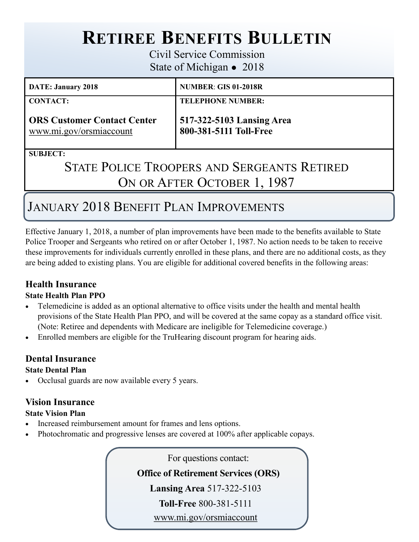# **RETIREE BENEFITS BULLETIN**

Civil Service Commission State of Michigan • 2018

| <b>DATE: January 2018</b>                                     | <b>NUMBER: GIS 01-2018R</b>                         |
|---------------------------------------------------------------|-----------------------------------------------------|
| <b>CONTACT:</b>                                               | <b>TELEPHONE NUMBER:</b>                            |
| <b>ORS Customer Contact Center</b><br>www.mi.gov/orsmiaccount | 517-322-5103 Lansing Area<br>800-381-5111 Toll-Free |

**SUBJECT:** 

# STATE POLICE TROOPERS AND SERGEANTS RETIRED ON OR AFTER OCTOBER 1, 1987

# JANUARY 2018 BENEFIT PLAN IMPROVEMENTS

Effective January 1, 2018, a number of plan improvements have been made to the benefits available to State Police Trooper and Sergeants who retired on or after October 1, 1987. No action needs to be taken to receive these improvements for individuals currently enrolled in these plans, and there are no additional costs, as they are being added to existing plans. You are eligible for additional covered benefits in the following areas:

# **Health Insurance**

### **State Health Plan PPO**

- Telemedicine is added as an optional alternative to office visits under the health and mental health provisions of the State Health Plan PPO, and will be covered at the same copay as a standard office visit. (Note: Retiree and dependents with Medicare are ineligible for Telemedicine coverage.)
- Enrolled members are eligible for the TruHearing discount program for hearing aids.

## **Dental Insurance**

### **State Dental Plan**

Occlusal guards are now available every 5 years.

### **Vision Insurance**

### **State Vision Plan**

- Increased reimbursement amount for frames and lens options.
- Photochromatic and progressive lenses are covered at 100% after applicable copays.

For questions contact: **Office of Retirement Services (ORS) Lansing Area** 517-322-5103 **Toll-Free** 800-381-5111 [www.mi.gov/orsmiaccount](https://ssprd.state.mi.us/wss/security/login.do?method=showLogin&retirementSystemId=1030)